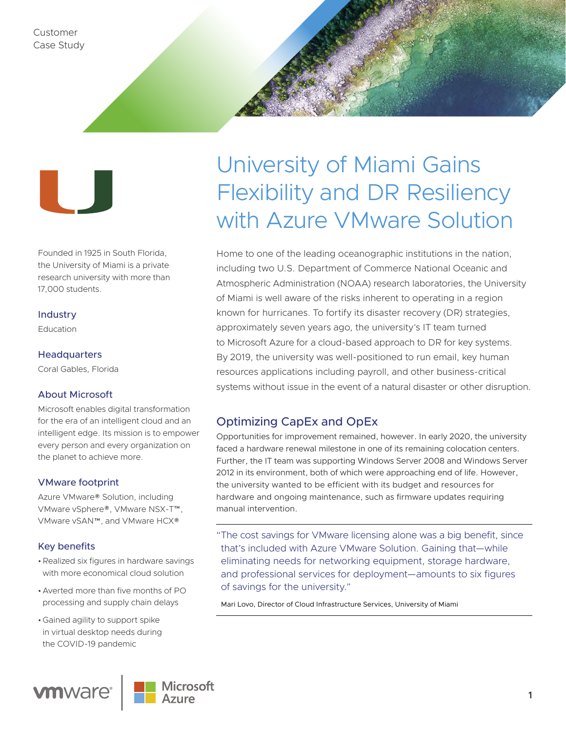

Founded in 1925 in South Florida, the University of Miami is a private research university with more than 17,000 students.

### Industry

Education

### **Headquarters**

Coral Gables, Florida

## About Microsoft

Microsoft enables digital transformation for the era of an intelligent cloud and an intelligent edge. Its mission is to empower every person and every organization on the planet to achieve more.

## VMware footprint

Azure VMware® Solution, including VMware vSphere®, VMware NSX-T™, VMware vSAN™, and VMware HCX®

### Key benefits

- •Realized six figures in hardware savings with more economical cloud solution
- •Averted more than five months of PO processing and supply chain delays
- •Gained agility to support spike in virtual desktop needs during the COVID-19 pandemic



# University of Miami Gains Flexibility and DR Resiliency with Azure VMware Solution

Home to one of the leading oceanographic institutions in the nation, including two U.S. Department of Commerce National Oceanic and Atmospheric Administration (NOAA) research laboratories, the University of Miami is well aware of the risks inherent to operating in a region known for hurricanes. To fortify its disaster recovery (DR) strategies, approximately seven years ago, the university's IT team turned to Microsoft Azure for a cloud-based approach to DR for key systems. By 2019, the university was well-positioned to run email, key human resources applications including payroll, and other business-critical systems without issue in the event of a natural disaster or other disruption.

# Optimizing CapEx and OpEx

Opportunities for improvement remained, however. In early 2020, the university faced a hardware renewal milestone in one of its remaining colocation centers. Further, the IT team was supporting Windows Server 2008 and Windows Server 2012 in its environment, both of which were approaching end of life. However, the university wanted to be efficient with its budget and resources for hardware and ongoing maintenance, such as firmware updates requiring manual intervention.

"The cost savings for VMware licensing alone was a big benefit, since that's included with Azure VMware Solution. Gaining that—while eliminating needs for networking equipment, storage hardware, and professional services for deployment—amounts to six figures of savings for the university."

Mari Lovo, Director of Cloud Infrastructure Services, University of Miami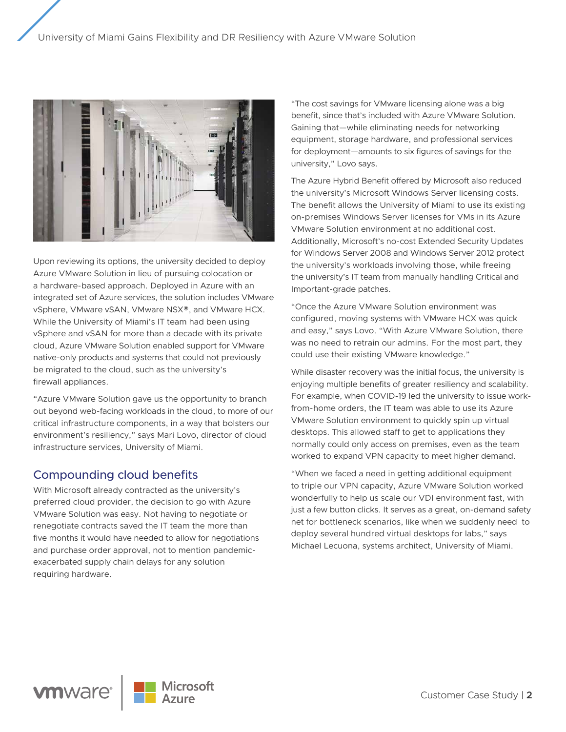

Upon reviewing its options, the university decided to deploy Azure VMware Solution in lieu of pursuing colocation or a hardware-based approach. Deployed in Azure with an integrated set of Azure services, the solution includes VMware vSphere, VMware vSAN, VMware NSX®, and VMware HCX. While the University of Miami's IT team had been using vSphere and vSAN for more than a decade with its private cloud, Azure VMware Solution enabled support for VMware native-only products and systems that could not previously be migrated to the cloud, such as the university's firewall appliances.

"Azure VMware Solution gave us the opportunity to branch out beyond web-facing workloads in the cloud, to more of our critical infrastructure components, in a way that bolsters our environment's resiliency," says Mari Lovo, director of cloud infrastructure services, University of Miami.

# Compounding cloud benefits

With Microsoft already contracted as the university's preferred cloud provider, the decision to go with Azure VMware Solution was easy. Not having to negotiate or renegotiate contracts saved the IT team the more than five months it would have needed to allow for negotiations and purchase order approval, not to mention pandemicexacerbated supply chain delays for any solution requiring hardware.

"The cost savings for VMware licensing alone was a big benefit, since that's included with Azure VMware Solution. Gaining that—while eliminating needs for networking equipment, storage hardware, and professional services for deployment—amounts to six figures of savings for the university," Lovo says.

The Azure Hybrid Benefit offered by Microsoft also reduced the university's Microsoft Windows Server licensing costs. The benefit allows the University of Miami to use its existing on-premises Windows Server licenses for VMs in its Azure VMware Solution environment at no additional cost. Additionally, Microsoft's no-cost Extended Security Updates for Windows Server 2008 and Windows Server 2012 protect the university's workloads involving those, while freeing the university's IT team from manually handling Critical and Important-grade patches.

"Once the Azure VMware Solution environment was configured, moving systems with VMware HCX was quick and easy," says Lovo. "With Azure VMware Solution, there was no need to retrain our admins. For the most part, they could use their existing VMware knowledge."

While disaster recovery was the initial focus, the university is enjoying multiple benefits of greater resiliency and scalability. For example, when COVID-19 led the university to issue workfrom-home orders, the IT team was able to use its Azure VMware Solution environment to quickly spin up virtual desktops. This allowed staff to get to applications they normally could only access on premises, even as the team worked to expand VPN capacity to meet higher demand.

"When we faced a need in getting additional equipment to triple our VPN capacity, Azure VMware Solution worked wonderfully to help us scale our VDI environment fast, with just a few button clicks. It serves as a great, on-demand safety net for bottleneck scenarios, like when we suddenly need to deploy several hundred virtual desktops for labs," says Michael Lecuona, systems architect, University of Miami.